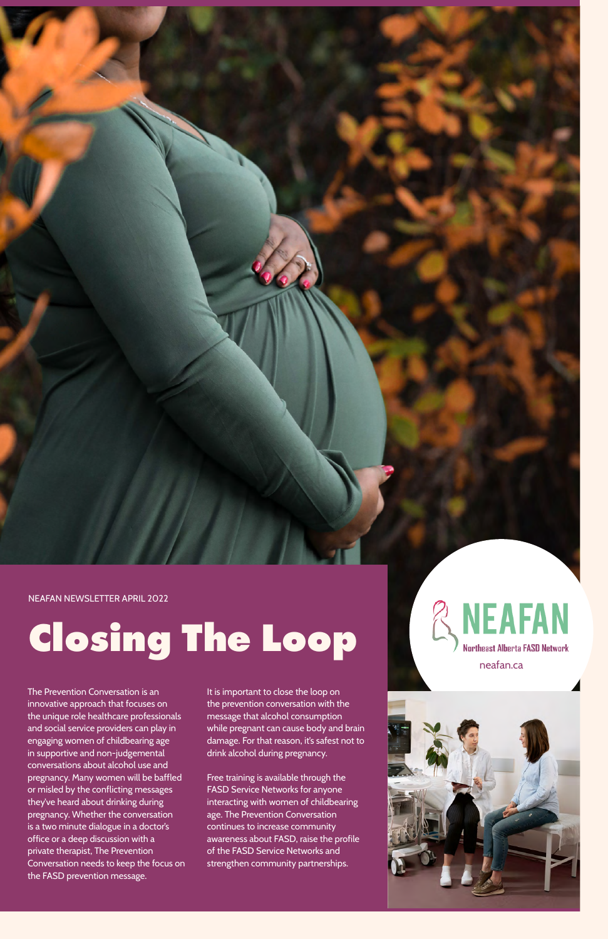neafan.ca



The Prevention Conversation is an innovative approach that focuses on the unique role healthcare professionals and social service providers can play in engaging women of childbearing age in supportive and non-judgemental conversations about alcohol use and pregnancy. Many women will be baffled or misled by the conflicting messages they've heard about drinking during pregnancy. Whether the conversation is a two minute dialogue in a doctor's office or a deep discussion with a private therapist, The Prevention Conversation needs to keep the focus on the FASD prevention message. It is important to close the loop on the prevention conversation with the message that alcohol consumption while pregnant can cause body and brain damage. For that reason, it's safest not to drink alcohol during pregnancy. Free training is available through the FASD Service Networks for anyone interacting with women of childbearing age. The Prevention Conversation continues to increase community awareness about FASD, raise the profile of the FASD Service Networks and strengthen community partnerships.



# **Closing The Loop**

NEAFAN NEWSLETTER APRIL 2022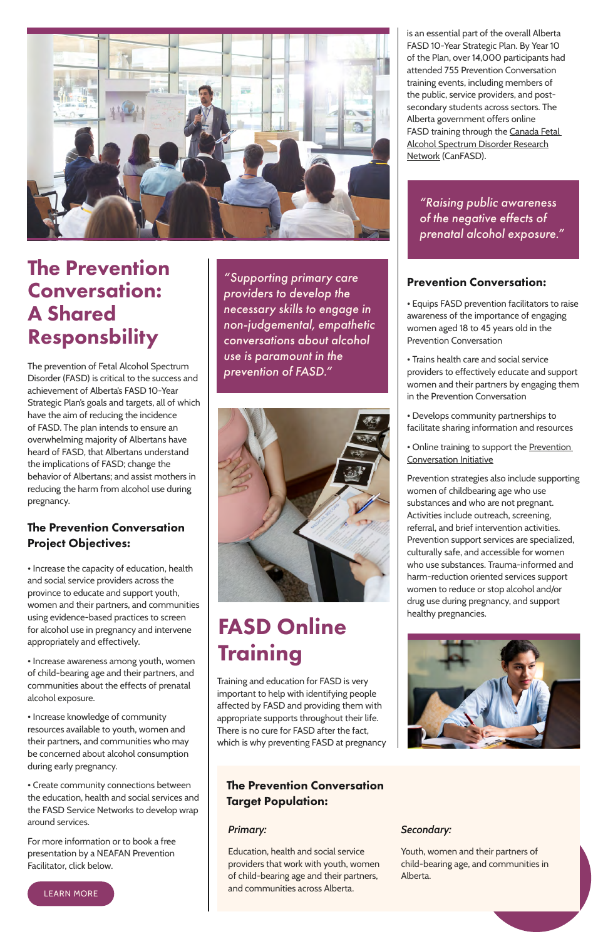

# The Prevention Conversation: A Shared Responsbility

The prevention of Fetal Alcohol Spectrum Disorder (FASD) is critical to the success and achievement of Alberta's FASD 10-Year Strategic Plan's goals and targets, all of which have the aim of reducing the incidence of FASD. The plan intends to ensure an overwhelming majority of Albertans have heard of FASD, that Albertans understand the implications of FASD; change the behavior of Albertans; and assist mothers in reducing the harm from alcohol use during pregnancy.

*"Supporting primary care providers to develop the necessary skills to engage in non-judgemental, empathetic conversations about alcohol use is paramount in the prevention of FASD."*



#### The Prevention Conversation Project Objectives:

• Increase the capacity of education, health and social service providers across the province to educate and support youth, women and their partners, and communities using evidence-based practices to screen for alcohol use in pregnancy and intervene appropriately and effectively.

• Increase awareness among youth, women of child-bearing age and their partners, and communities about the effects of prenatal

alcohol exposure.

• Increase knowledge of community resources available to youth, women and their partners, and communities who may be concerned about alcohol consumption during early pregnancy.

• Create community connections between the education, health and social services and the FASD Service Networks to develop wrap around services.

For more information or to book a free presentation by a NEAFAN Prevention Facilitator, click below.

#### Prevention Conversation:

# FASD Online **Training**

• Equips FASD prevention facilitators to raise awareness of the importance of engaging women aged 18 to 45 years old in the Prevention Conversation

- Trains health care and social service providers to effectively educate and support women and their partners by engaging them in the Prevention Conversation
- Develops community partnerships to facilitate sharing information and resources
- Online training to support the **Prevention** [Conversation Initiative](https://preventionconversation.org/)

Prevention strategies also include supporting women of childbearing age who use substances and who are not pregnant. Activities include outreach, screening, referral, and brief intervention activities. Prevention support services are specialized, culturally safe, and accessible for women who use substances. Trauma-informed and harm-reduction oriented services support women to reduce or stop alcohol and/or drug use during pregnancy, and support healthy pregnancies.



is an essential part of the overall Alberta FASD 10-Year Strategic Plan. By Year 10 of the Plan, over 14,000 participants had attended 755 Prevention Conversation training events, including members of the public, service providers, and postsecondary students across sectors. The Alberta government offers online FASD training through the Canada Fetal [Alcohol Spectrum Disorder Research](https://canfasd.ca/) [Network](https://canfasd.ca/) (CanFASD).

*"Raising public awareness of the negative effects of prenatal alcohol exposure."*

#### The Prevention Conversation Target Population:

#### *Primary:*

Education, health and social service providers that work with youth, women of child-bearing age and their partners, and communities across Alberta.

#### *Secondary:*

Youth, women and their partners of child-bearing age, and communities in Alberta.

Training and education for FASD is very important to help with identifying people affected by FASD and providing them with appropriate supports throughout their life. There is no cure for FASD after the fact, which is why preventing FASD at pregnancy

[LEARN MORE](https://neafan.ca/contact-us/)